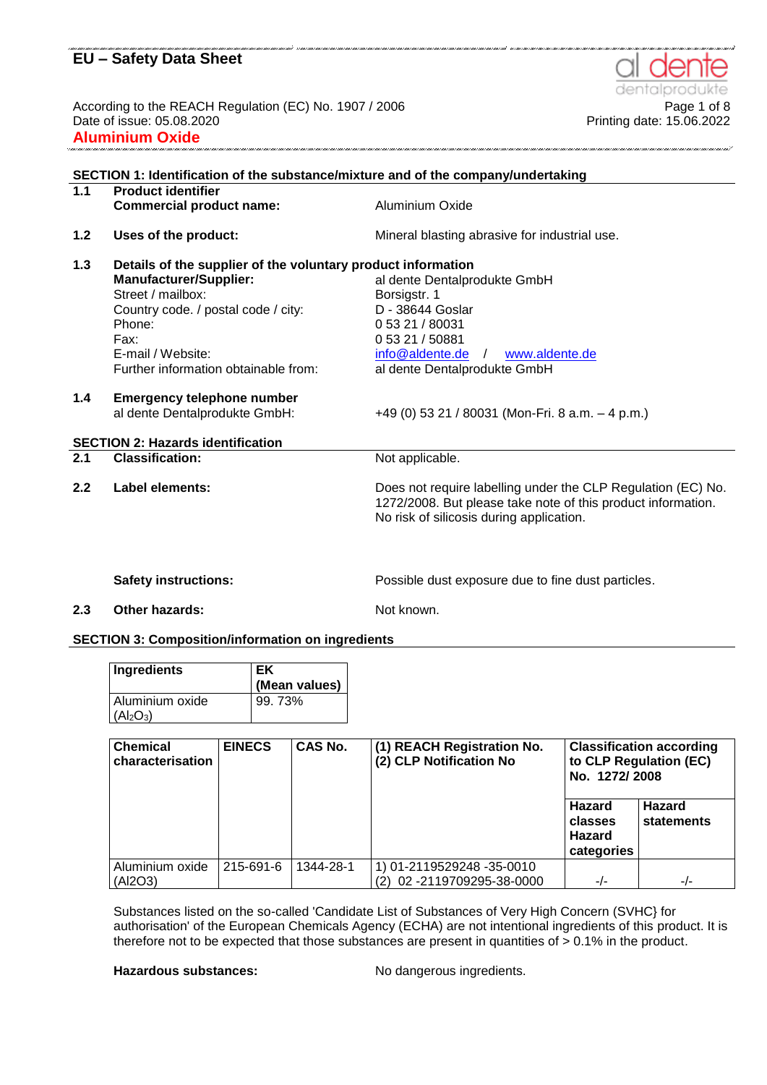According to the REACH Regulation (EC) No. 1907 / 2006<br>Printing date: 15.08.2020<br>Printing date: 15.08.2022 Date of issue: 05.08.2020 **Aluminium Oxide**

| 1.1   | <b>Product identifier</b>                                    |                                                                                                                                                                          |
|-------|--------------------------------------------------------------|--------------------------------------------------------------------------------------------------------------------------------------------------------------------------|
|       | <b>Commercial product name:</b>                              | Aluminium Oxide                                                                                                                                                          |
| $1.2$ | Uses of the product:                                         | Mineral blasting abrasive for industrial use.                                                                                                                            |
| 1.3   | Details of the supplier of the voluntary product information |                                                                                                                                                                          |
|       | <b>Manufacturer/Supplier:</b>                                | al dente Dentalprodukte GmbH                                                                                                                                             |
|       | Street / mailbox:                                            | Borsigstr. 1                                                                                                                                                             |
|       | Country code. / postal code / city:                          | D - 38644 Goslar                                                                                                                                                         |
|       | Phone:                                                       | 0 53 21 / 80031                                                                                                                                                          |
|       | Fax:                                                         | 0 53 21 / 50881                                                                                                                                                          |
|       | E-mail / Website:                                            | info@aldente.de<br>www.aldente.de<br>$\sqrt{ }$                                                                                                                          |
|       | Further information obtainable from:                         | al dente Dentalprodukte GmbH                                                                                                                                             |
| 1.4   | <b>Emergency telephone number</b>                            |                                                                                                                                                                          |
|       | al dente Dentalprodukte GmbH:                                | +49 (0) 53 21 / 80031 (Mon-Fri. 8 a.m. $-$ 4 p.m.)                                                                                                                       |
|       | <b>SECTION 2: Hazards identification</b>                     |                                                                                                                                                                          |
| 2.1   | <b>Classification:</b>                                       | Not applicable.                                                                                                                                                          |
| 2.2   | Label elements:                                              | Does not require labelling under the CLP Regulation (EC) No.<br>1272/2008. But please take note of this product information.<br>No risk of silicosis during application. |
|       |                                                              |                                                                                                                                                                          |

Safety instructions: **Safety instructions:** Possible dust exposure due to fine dust particles.

**2.3 Other hazards:** Not known.

## **SECTION 3: Composition/information on ingredients**

| Ingredients                       | l EK          |
|-----------------------------------|---------------|
|                                   | (Mean values) |
| Aluminium oxide                   | 99.73%        |
| (AI <sub>2</sub> O <sub>3</sub> ) |               |

| <b>Chemical</b><br>characterisation | <b>EINECS</b> | <b>CAS No.</b> | (1) REACH Registration No.<br>(2) CLP Notification No | <b>Classification according</b><br>to CLP Regulation (EC)<br>No. 1272/2008 |                      |
|-------------------------------------|---------------|----------------|-------------------------------------------------------|----------------------------------------------------------------------------|----------------------|
|                                     |               |                |                                                       | <b>Hazard</b><br>classes<br><b>Hazard</b><br>categories                    | Hazard<br>statements |
| Aluminium oxide                     | 215-691-6     | 1344-28-1      | 1) 01-2119529248 -35-0010                             |                                                                            |                      |
| (Al2O3)                             |               |                | (2) 02 -2119709295-38-0000                            | $-/-$                                                                      | $-/-$                |

Substances listed on the so-called 'Candidate List of Substances of Very High Concern (SVHC} for authorisation' of the European Chemicals Agency (ECHA) are not intentional ingredients of this product. It is therefore not to be expected that those substances are present in quantities of > 0.1% in the product.

Hazardous substances: No dangerous ingredients.

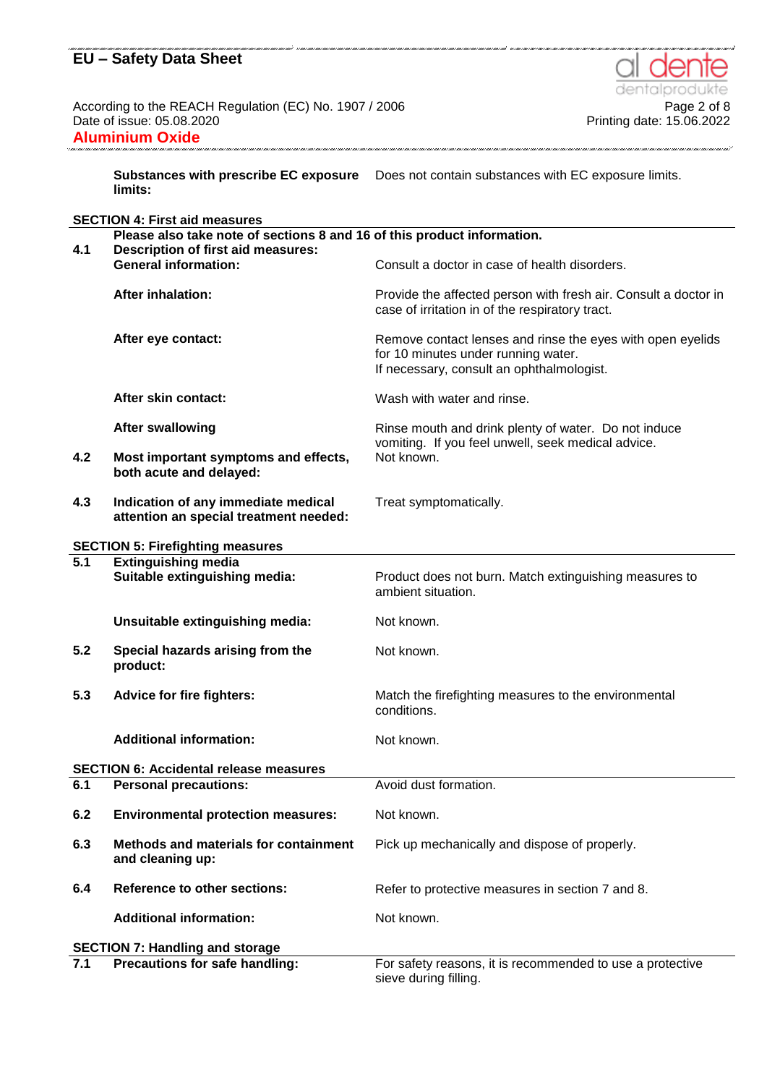According to the REACH Regulation (EC) No. 1907 / 2006<br>Date of issue: 05.08.2020 **Aluminium Oxide** 

**Substances with prescribe EC exposure**  Does not contain substances with EC exposure limits. **limits:**

|                                         | <b>SECTION 4: First aid measures</b>                                          |                                                                                                                                                |  |  |
|-----------------------------------------|-------------------------------------------------------------------------------|------------------------------------------------------------------------------------------------------------------------------------------------|--|--|
|                                         | Please also take note of sections 8 and 16 of this product information.       |                                                                                                                                                |  |  |
| 4.1                                     | <b>Description of first aid measures:</b><br><b>General information:</b>      | Consult a doctor in case of health disorders.                                                                                                  |  |  |
|                                         |                                                                               |                                                                                                                                                |  |  |
|                                         | <b>After inhalation:</b>                                                      | Provide the affected person with fresh air. Consult a doctor in<br>case of irritation in of the respiratory tract.                             |  |  |
|                                         | After eye contact:                                                            | Remove contact lenses and rinse the eyes with open eyelids<br>for 10 minutes under running water.<br>If necessary, consult an ophthalmologist. |  |  |
|                                         | After skin contact:                                                           | Wash with water and rinse.                                                                                                                     |  |  |
|                                         | <b>After swallowing</b>                                                       | Rinse mouth and drink plenty of water. Do not induce<br>vomiting. If you feel unwell, seek medical advice.                                     |  |  |
| 4.2                                     | Most important symptoms and effects,<br>both acute and delayed:               | Not known.                                                                                                                                     |  |  |
| 4.3                                     | Indication of any immediate medical<br>attention an special treatment needed: | Treat symptomatically.                                                                                                                         |  |  |
| <b>SECTION 5: Firefighting measures</b> |                                                                               |                                                                                                                                                |  |  |
| $\overline{5.1}$                        | <b>Extinguishing media</b>                                                    |                                                                                                                                                |  |  |
|                                         | Suitable extinguishing media:                                                 | Product does not burn. Match extinguishing measures to<br>ambient situation.                                                                   |  |  |
|                                         | Unsuitable extinguishing media:                                               | Not known.                                                                                                                                     |  |  |
| 5.2                                     | Special hazards arising from the<br>product:                                  | Not known.                                                                                                                                     |  |  |
| 5.3                                     | <b>Advice for fire fighters:</b>                                              | Match the firefighting measures to the environmental<br>conditions.                                                                            |  |  |
|                                         | <b>Additional information:</b>                                                | Not known.                                                                                                                                     |  |  |
|                                         | <b>SECTION 6: Accidental release measures</b>                                 |                                                                                                                                                |  |  |
| 6.1                                     | <b>Personal precautions:</b>                                                  | Avoid dust formation.                                                                                                                          |  |  |
| 6.2                                     | <b>Environmental protection measures:</b>                                     | Not known.                                                                                                                                     |  |  |
| 6.3                                     | Methods and materials for containment<br>and cleaning up:                     | Pick up mechanically and dispose of properly.                                                                                                  |  |  |
| 6.4                                     | <b>Reference to other sections:</b>                                           | Refer to protective measures in section 7 and 8.                                                                                               |  |  |
|                                         | <b>Additional information:</b>                                                | Not known.                                                                                                                                     |  |  |
|                                         | <b>SECTION 7: Handling and storage</b>                                        |                                                                                                                                                |  |  |
| 7.1                                     | Precautions for safe handling:                                                | For safety reasons, it is recommended to use a protective<br>sieve during filling.                                                             |  |  |



Printing date: 15.06.2022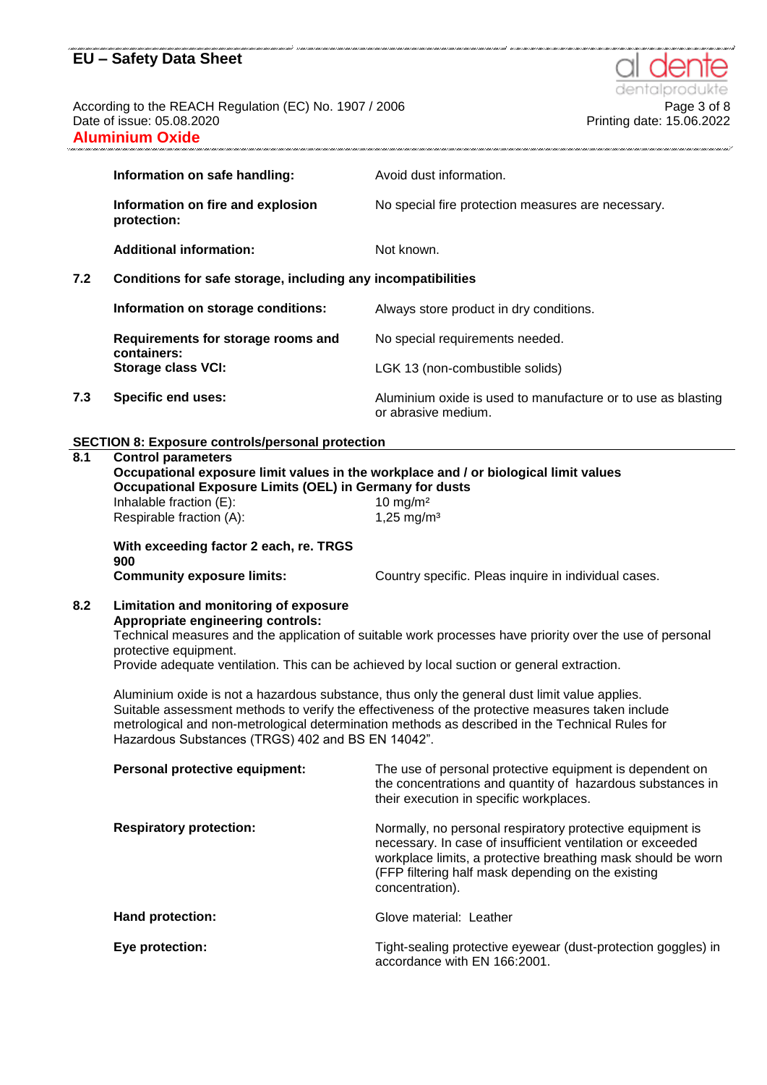According to the REACH Regulation (EC) No. 1907 / 2006<br>Printing date: 05.08.2020<br>Printing date: 15.06.2022 **Aluminium Oxide**

|     | Information on safe handling:                                | Avoid dust information.                                                             |  |
|-----|--------------------------------------------------------------|-------------------------------------------------------------------------------------|--|
|     | Information on fire and explosion<br>protection:             | No special fire protection measures are necessary.                                  |  |
|     | <b>Additional information:</b>                               | Not known.                                                                          |  |
| 7.2 | Conditions for safe storage, including any incompatibilities |                                                                                     |  |
|     | Information on storage conditions:                           | Always store product in dry conditions.                                             |  |
|     | Requirements for storage rooms and<br>containers:            | No special requirements needed.                                                     |  |
|     | <b>Storage class VCI:</b>                                    | LGK 13 (non-combustible solids)                                                     |  |
| 7.3 | <b>Specific end uses:</b>                                    | Aluminium oxide is used to manufacture or to use as blasting<br>or abrasive medium. |  |

#### **SECTION 8: Exposure controls/personal protection**

#### **8.1 Control parameters**

**Occupational exposure limit values in the workplace and / or biological limit values Occupational Exposure Limits (OEL) in Germany for dusts** Inhalable fraction (E): 10 mg/m<sup>2</sup> Respirable fraction  $(A)$ : 1,25 mg/m<sup>3</sup>

**With exceeding factor 2 each, re. TRGS**  900<br>Community exposure limits:

Country specific. Pleas inquire in individual cases.

#### **8.2 Limitation and monitoring of exposure Appropriate engineering controls:**

Technical measures and the application of suitable work processes have priority over the use of personal protective equipment.

Provide adequate ventilation. This can be achieved by local suction or general extraction.

Aluminium oxide is not a hazardous substance, thus only the general dust limit value applies. Suitable assessment methods to verify the effectiveness of the protective measures taken include metrological and non-metrological determination methods as described in the Technical Rules for Hazardous Substances (TRGS) 402 and BS EN 14042".

| Personal protective equipment: | The use of personal protective equipment is dependent on<br>the concentrations and quantity of hazardous substances in<br>their execution in specific workplaces.                                                                                                |
|--------------------------------|------------------------------------------------------------------------------------------------------------------------------------------------------------------------------------------------------------------------------------------------------------------|
| <b>Respiratory protection:</b> | Normally, no personal respiratory protective equipment is<br>necessary. In case of insufficient ventilation or exceeded<br>workplace limits, a protective breathing mask should be worn<br>(FFP filtering half mask depending on the existing<br>concentration). |
| Hand protection:               | Glove material: Leather                                                                                                                                                                                                                                          |
| Eye protection:                | Tight-sealing protective eyewear (dust-protection goggles) in<br>accordance with EN 166:2001.                                                                                                                                                                    |



Printing date: 15.06.2022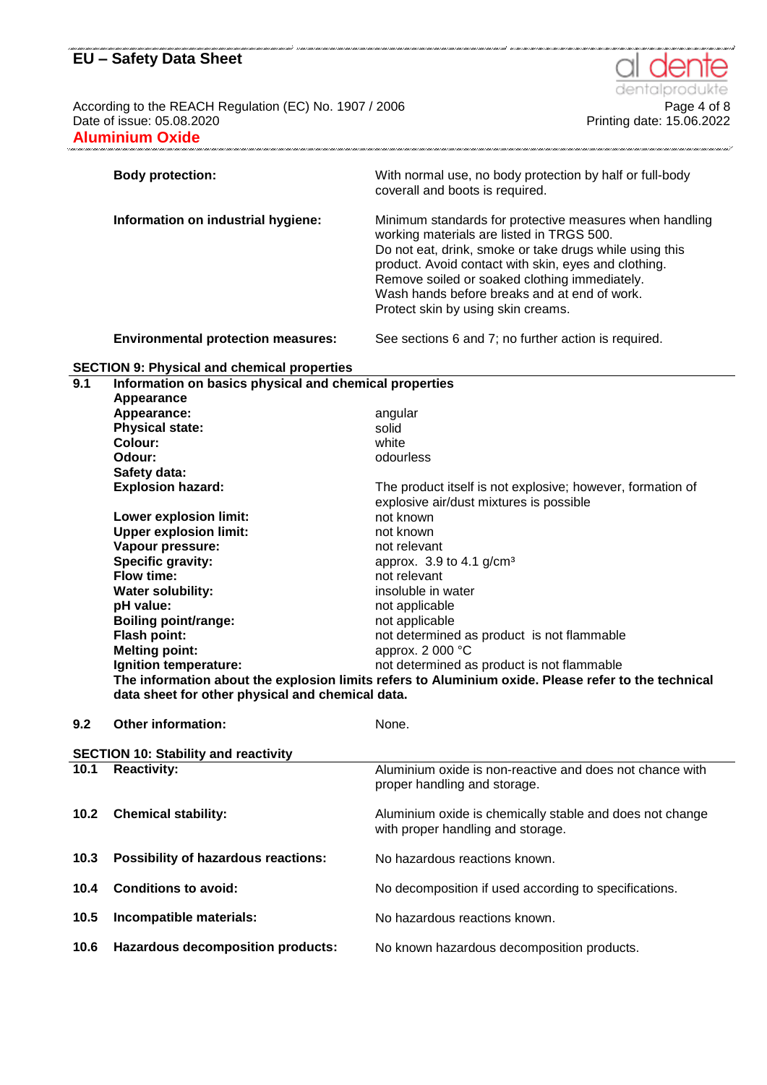According to the REACH Regulation (EC) No. 1907 / 2006<br>Printing date: 05.08.2020<br>Printing date: 15.06.2022 Date of issue: 05.08.2020 **Aluminium Oxide**

|      | <b>Body protection:</b>                                | With normal use, no body protection by half or full-body<br>coverall and boots is required.         |
|------|--------------------------------------------------------|-----------------------------------------------------------------------------------------------------|
|      |                                                        |                                                                                                     |
|      | Information on industrial hygiene:                     | Minimum standards for protective measures when handling                                             |
|      |                                                        | working materials are listed in TRGS 500.                                                           |
|      |                                                        | Do not eat, drink, smoke or take drugs while using this                                             |
|      |                                                        | product. Avoid contact with skin, eyes and clothing.                                                |
|      |                                                        | Remove soiled or soaked clothing immediately.                                                       |
|      |                                                        | Wash hands before breaks and at end of work.                                                        |
|      |                                                        | Protect skin by using skin creams.                                                                  |
|      | <b>Environmental protection measures:</b>              | See sections 6 and 7; no further action is required.                                                |
|      | <b>SECTION 9: Physical and chemical properties</b>     |                                                                                                     |
| 9.1  | Information on basics physical and chemical properties |                                                                                                     |
|      | Appearance                                             |                                                                                                     |
|      | Appearance:                                            | angular                                                                                             |
|      | <b>Physical state:</b>                                 | solid                                                                                               |
|      | Colour:                                                | white                                                                                               |
|      | Odour:                                                 | odourless                                                                                           |
|      | Safety data:                                           |                                                                                                     |
|      | <b>Explosion hazard:</b>                               | The product itself is not explosive; however, formation of                                          |
|      |                                                        | explosive air/dust mixtures is possible                                                             |
|      | <b>Lower explosion limit:</b>                          | not known                                                                                           |
|      | <b>Upper explosion limit:</b>                          | not known                                                                                           |
|      | Vapour pressure:                                       | not relevant                                                                                        |
|      | Specific gravity:                                      | approx. $3.9$ to 4.1 g/cm <sup>3</sup>                                                              |
|      | Flow time:                                             | not relevant                                                                                        |
|      | Water solubility:                                      | insoluble in water                                                                                  |
|      | pH value:                                              | not applicable                                                                                      |
|      | <b>Boiling point/range:</b>                            | not applicable                                                                                      |
|      | <b>Flash point:</b>                                    | not determined as product is not flammable                                                          |
|      | <b>Melting point:</b>                                  | approx. 2 000 °C                                                                                    |
|      | Ignition temperature:                                  | not determined as product is not flammable                                                          |
|      |                                                        | The information about the explosion limits refers to Aluminium oxide. Please refer to the technical |
|      | data sheet for other physical and chemical data.       |                                                                                                     |
|      |                                                        |                                                                                                     |
| 9.2  | Other information:                                     | None.                                                                                               |
|      | <b>SECTION 10: Stability and reactivity</b>            |                                                                                                     |
| 10.1 | <b>Reactivity:</b>                                     | Aluminium oxide is non-reactive and does not chance with                                            |
|      |                                                        | proper handling and storage.                                                                        |
| 10.2 | <b>Chemical stability:</b>                             | Aluminium oxide is chemically stable and does not change                                            |
|      |                                                        | with proper handling and storage.                                                                   |
| 10.3 | <b>Possibility of hazardous reactions:</b>             | No hazardous reactions known.                                                                       |
|      |                                                        |                                                                                                     |

dentalp

**10.5 Incompatible materials:** No hazardous reactions known.

**10.6 Hazardous decomposition products:** No known hazardous decomposition products.

10.4 **Conditions to avoid:** No decomposition if used according to specifications.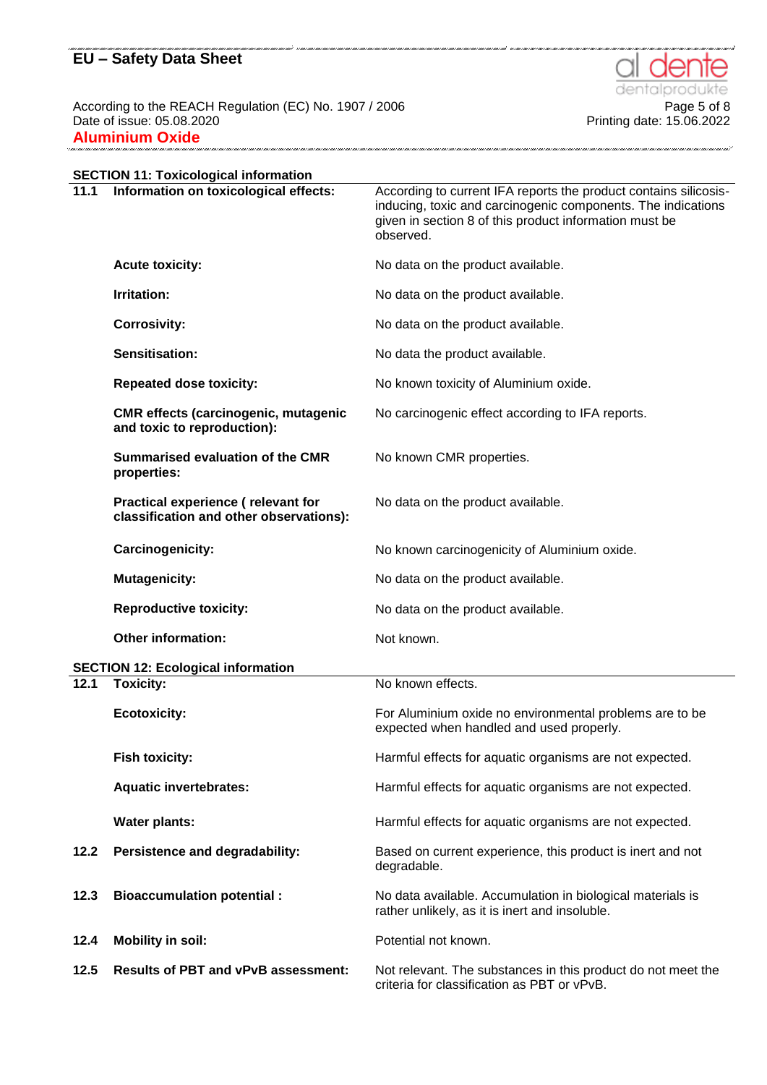According to the REACH Regulation (EC) No. 1907 / 2006<br>Date of issue: 05.08.2020 **Aluminium Oxide** .<br>1990 - 1990 - 1990 - 1990 - 1990 - 1990 - 1990 - 1990 - 1990 - 1990 - 1990 - 1990 - 1990 -

|      | <b>SECTION 11: Toxicological information</b>                                  |                                                                                                                                                                                                         |
|------|-------------------------------------------------------------------------------|---------------------------------------------------------------------------------------------------------------------------------------------------------------------------------------------------------|
| 11.1 | Information on toxicological effects:                                         | According to current IFA reports the product contains silicosis-<br>inducing, toxic and carcinogenic components. The indications<br>given in section 8 of this product information must be<br>observed. |
|      | <b>Acute toxicity:</b>                                                        | No data on the product available.                                                                                                                                                                       |
|      | Irritation:                                                                   | No data on the product available.                                                                                                                                                                       |
|      | <b>Corrosivity:</b>                                                           | No data on the product available.                                                                                                                                                                       |
|      | Sensitisation:                                                                | No data the product available.                                                                                                                                                                          |
|      | <b>Repeated dose toxicity:</b>                                                | No known toxicity of Aluminium oxide.                                                                                                                                                                   |
|      | <b>CMR</b> effects (carcinogenic, mutagenic<br>and toxic to reproduction):    | No carcinogenic effect according to IFA reports.                                                                                                                                                        |
|      | <b>Summarised evaluation of the CMR</b><br>properties:                        | No known CMR properties.                                                                                                                                                                                |
|      | Practical experience (relevant for<br>classification and other observations): | No data on the product available.                                                                                                                                                                       |
|      | Carcinogenicity:                                                              | No known carcinogenicity of Aluminium oxide.                                                                                                                                                            |
|      | <b>Mutagenicity:</b>                                                          | No data on the product available.                                                                                                                                                                       |
|      | <b>Reproductive toxicity:</b>                                                 | No data on the product available.                                                                                                                                                                       |
|      | Other information:                                                            | Not known.                                                                                                                                                                                              |
|      | <b>SECTION 12: Ecological information</b>                                     |                                                                                                                                                                                                         |
| 12.1 | <b>Toxicity:</b>                                                              | No known effects.                                                                                                                                                                                       |
|      | <b>Ecotoxicity:</b>                                                           | For Aluminium oxide no environmental problems are to be<br>expected when handled and used properly.                                                                                                     |
|      | <b>Fish toxicity:</b>                                                         | Harmful effects for aquatic organisms are not expected.                                                                                                                                                 |
|      | <b>Aquatic invertebrates:</b>                                                 | Harmful effects for aquatic organisms are not expected.                                                                                                                                                 |
|      | <b>Water plants:</b>                                                          | Harmful effects for aquatic organisms are not expected.                                                                                                                                                 |
| 12.2 | Persistence and degradability:                                                | Based on current experience, this product is inert and not<br>degradable.                                                                                                                               |

**12.3 Bioaccumulation potential :** No data available. Accumulation in biological materials is

**12.4 Mobility in soil:** Potential not known. **12.5 Results of PBT and vPvB assessment:** Not relevant. The substances in this product do not meet the criteria for classification as PBT or vPvB.

rather unlikely, as it is inert and insoluble.





.<br>Inter anno 1 1000 1 1000 1 1000 1 1000 1 1000 1 1000 1 1000 1 1000 1 1000 1 1000 1 1000 1 1000 1 1000 1 1000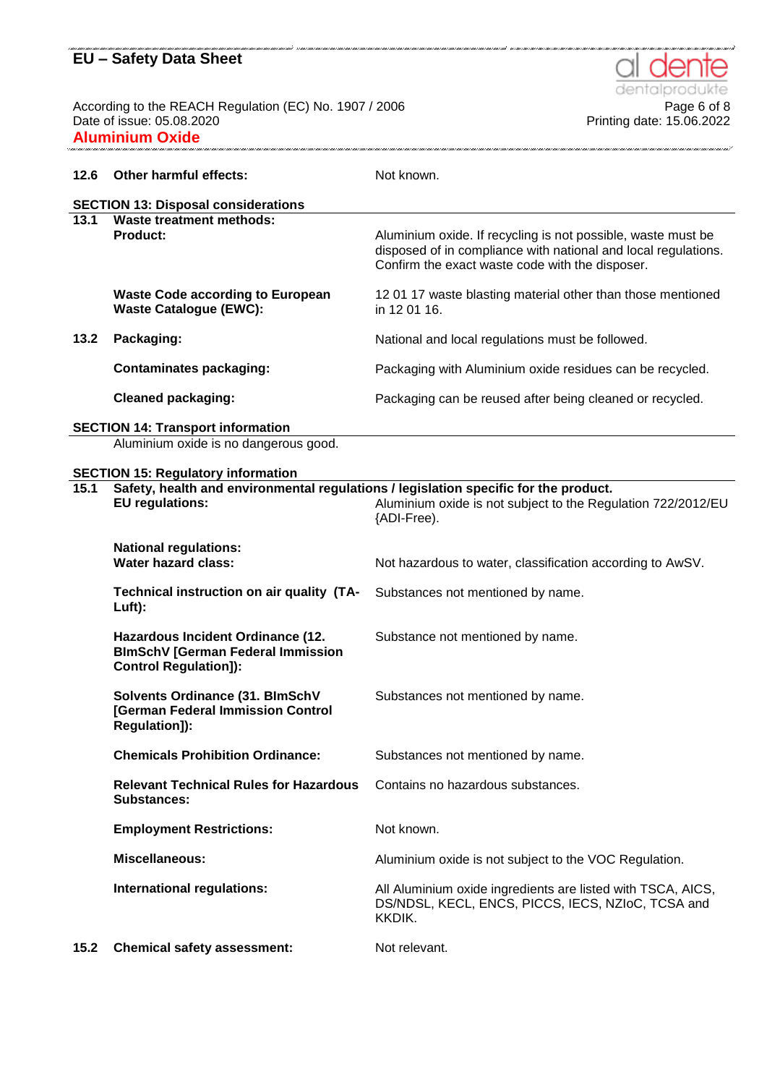According to the REACH Regulation (EC) No. 1907 / 2006 **Page 6 of 8** Page 6 of 8 Date of issue: 05.08.2020 Printing date: 15.06.2022 **Aluminium Oxide**

dentalp e **Page 6 of 8** 

| 12.6                                       | Other harmful effects:                                                                                         | Not known.                                                                                                                                                                        |
|--------------------------------------------|----------------------------------------------------------------------------------------------------------------|-----------------------------------------------------------------------------------------------------------------------------------------------------------------------------------|
| <b>SECTION 13: Disposal considerations</b> |                                                                                                                |                                                                                                                                                                                   |
| 13.1                                       | <b>Waste treatment methods:</b><br><b>Product:</b>                                                             | Aluminium oxide. If recycling is not possible, waste must be<br>disposed of in compliance with national and local regulations.<br>Confirm the exact waste code with the disposer. |
|                                            | <b>Waste Code according to European</b><br><b>Waste Catalogue (EWC):</b>                                       | 12 01 17 waste blasting material other than those mentioned<br>in 12 01 16.                                                                                                       |
| 13.2                                       | Packaging:                                                                                                     | National and local regulations must be followed.                                                                                                                                  |
|                                            | <b>Contaminates packaging:</b>                                                                                 | Packaging with Aluminium oxide residues can be recycled.                                                                                                                          |
|                                            | <b>Cleaned packaging:</b>                                                                                      | Packaging can be reused after being cleaned or recycled.                                                                                                                          |
|                                            | <b>SECTION 14: Transport information</b>                                                                       |                                                                                                                                                                                   |
|                                            | Aluminium oxide is no dangerous good.                                                                          |                                                                                                                                                                                   |
|                                            | <b>SECTION 15: Regulatory information</b>                                                                      |                                                                                                                                                                                   |
| 15.1                                       | Safety, health and environmental regulations / legislation specific for the product.<br><b>EU</b> regulations: | Aluminium oxide is not subject to the Regulation 722/2012/EU<br>{ADI-Free).                                                                                                       |
|                                            | <b>National regulations:</b><br><b>Water hazard class:</b>                                                     | Not hazardous to water, classification according to AwSV.                                                                                                                         |
|                                            | Technical instruction on air quality (TA-<br>Luft):                                                            | Substances not mentioned by name.                                                                                                                                                 |
|                                            | Hazardous Incident Ordinance (12.<br><b>BImSchV [German Federal Immission</b><br><b>Control Regulation]):</b>  | Substance not mentioned by name.                                                                                                                                                  |
|                                            | Solvents Ordinance (31. BlmSchV<br>[German Federal Immission Control<br>Regulation]):                          | Substances not mentioned by name.                                                                                                                                                 |
|                                            | <b>Chemicals Prohibition Ordinance:</b>                                                                        | Substances not mentioned by name.                                                                                                                                                 |
|                                            | <b>Relevant Technical Rules for Hazardous</b><br><b>Substances:</b>                                            | Contains no hazardous substances.                                                                                                                                                 |
|                                            | <b>Employment Restrictions:</b>                                                                                | Not known.                                                                                                                                                                        |
|                                            | Miscellaneous:                                                                                                 | Aluminium oxide is not subject to the VOC Regulation.                                                                                                                             |
|                                            | International regulations:                                                                                     | All Aluminium oxide ingredients are listed with TSCA, AICS,<br>DS/NDSL, KECL, ENCS, PICCS, IECS, NZIoC, TCSA and<br>KKDIK.                                                        |

15.2 **Chemical safety assessment:** Not relevant.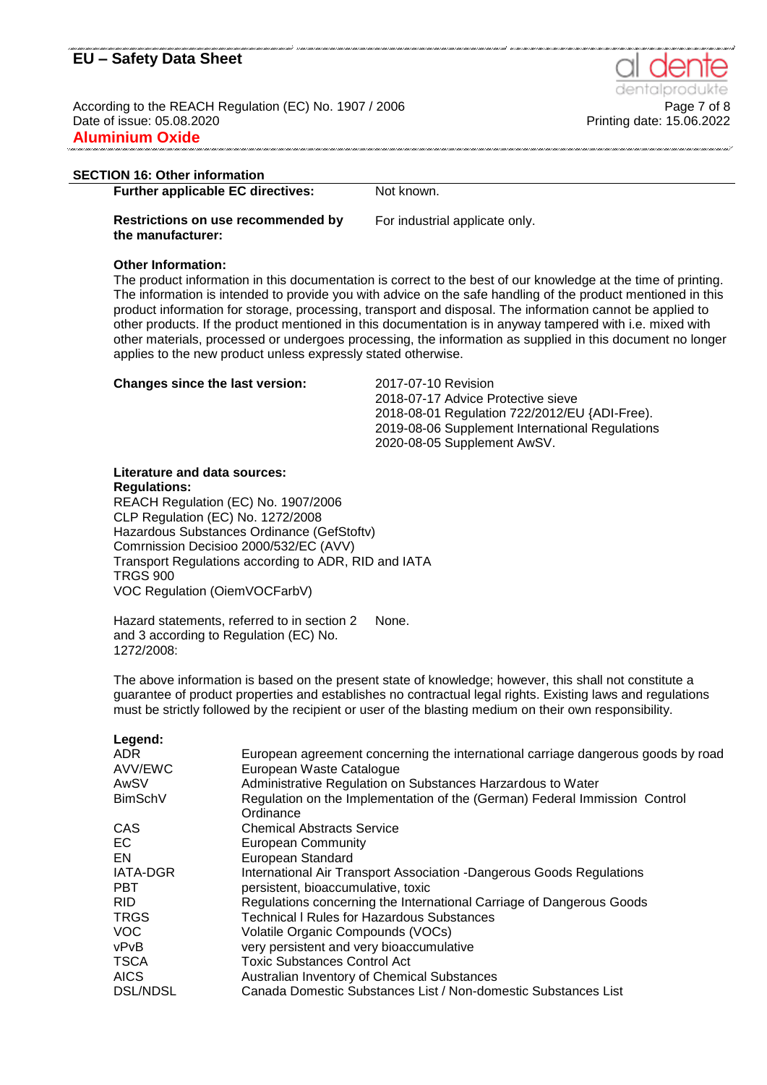According to the REACH Regulation (EC) No. 1907 / 2006 **Page 7 of 8** Page 7 of 8 Date of issue: 05.08.2020 Printing date: 15.06.2022 **Aluminium Oxide**

#### **SECTION 16: Other information**

**Further applicable EC directives:** Not known.

**Restrictions on use recommended by the manufacturer:**

For industrial applicate only.

#### **Other Information:**

The product information in this documentation is correct to the best of our knowledge at the time of printing. The information is intended to provide you with advice on the safe handling of the product mentioned in this product information for storage, processing, transport and disposal. The information cannot be applied to other products. If the product mentioned in this documentation is in anyway tampered with i.e. mixed with other materials, processed or undergoes processing, the information as supplied in this document no longer applies to the new product unless expressly stated otherwise.

#### **Changes since the last version:** 2017-07-10 Revision

2018-07-17 Advice Protective sieve 2018-08-01 Regulation 722/2012/EU {ADI-Free). 2019-08-06 Supplement International Regulations 2020-08-05 Supplement AwSV.

#### **Literature and data sources: Regulations:**

REACH Regulation (EC) No. 1907/2006 CLP Regulation (EC) No. 1272/2008 Hazardous Substances Ordinance (GefStoftv) Comrnission Decisioo 2000/532/EC (AVV) Transport Regulations according to ADR, RID and IATA TRGS 900 VOC Regulation (OiemVOCFarbV)

Hazard statements, referred to in section 2 and 3 according to Regulation (EC) No. 1272/2008: None.

The above information is based on the present state of knowledge; however, this shall not constitute a guarantee of product properties and establishes no contractual legal rights. Existing laws and regulations must be strictly followed by the recipient or user of the blasting medium on their own responsibility.

| Legend:         |                                                                                  |
|-----------------|----------------------------------------------------------------------------------|
| ADR.            | European agreement concerning the international carriage dangerous goods by road |
| AVV/EWC         | European Waste Catalogue                                                         |
| AwSV            | Administrative Regulation on Substances Harzardous to Water                      |
| <b>BimSchV</b>  | Regulation on the Implementation of the (German) Federal Immission Control       |
|                 | Ordinance                                                                        |
| <b>CAS</b>      | <b>Chemical Abstracts Service</b>                                                |
| EC              | <b>European Community</b>                                                        |
| EN              | European Standard                                                                |
| <b>IATA-DGR</b> | International Air Transport Association -Dangerous Goods Regulations             |
| <b>PBT</b>      | persistent, bioaccumulative, toxic                                               |
| RID.            | Regulations concerning the International Carriage of Dangerous Goods             |
| <b>TRGS</b>     | <b>Technical I Rules for Hazardous Substances</b>                                |
| <b>VOC</b>      | Volatile Organic Compounds (VOCs)                                                |
| vPvB            | very persistent and very bioaccumulative                                         |
| <b>TSCA</b>     | <b>Toxic Substances Control Act</b>                                              |
| <b>AICS</b>     | Australian Inventory of Chemical Substances                                      |
| <b>DSL/NDSL</b> | Canada Domestic Substances List / Non-domestic Substances List                   |